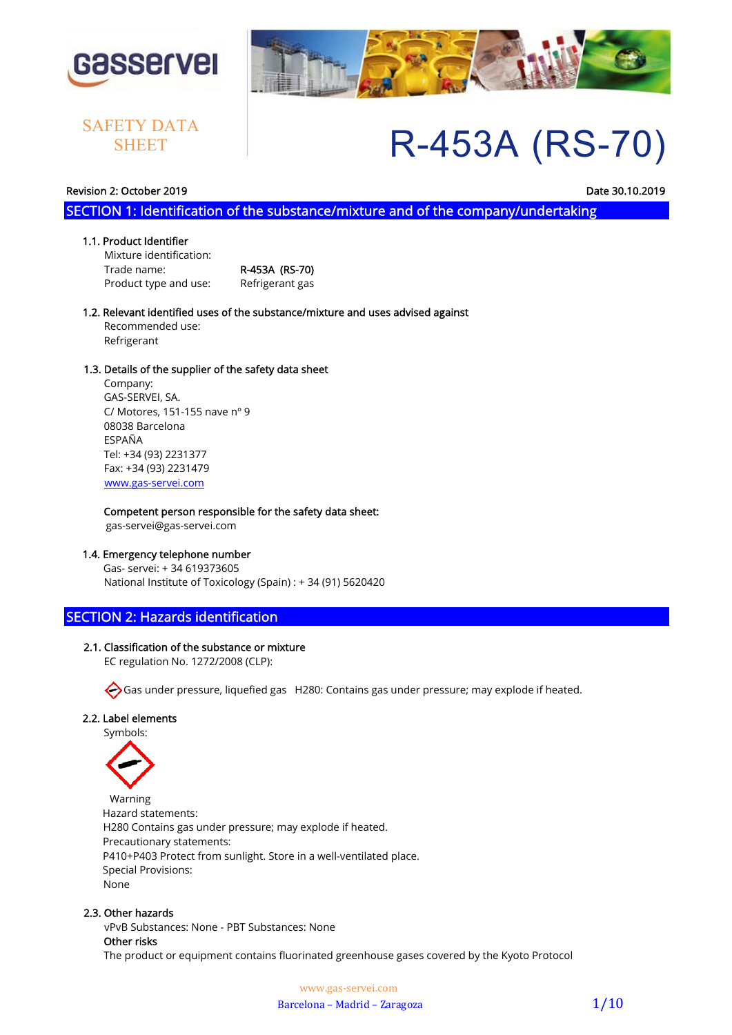

## **SHEET**



# SAFETY DATA **R-453A (RS-70)**

### Revision 2: October 2019 Date 30.10.2019

SECTION 1: Identification of the substance/mixture and of the company/undertaking

### 1.1. Product Identifier

 Mixture identification: Trade name: R-453A (RS-70) Product type and use: Refrigerant gas

### 1.2. Relevant identified uses of the substance/mixture and uses advised against Recommended use: Refrigerant

### 1.3. Details of the supplier of the safety data sheet

 Company: GAS-SERVEI, SA. C/ Motores, 151-155 nave nº 9 08038 Barcelona ESPAÑA Tel: +34 (93) 2231377 Fax: +34 (93) 2231479 www.gas-servei.com

### Competent person responsible for the safety data sheet:

gas-servei@gas-servei.com

### 1.4. Emergency telephone number

 Gas- servei: + 34 619373605 National Institute of Toxicology (Spain) : + 34 (91) 5620420

### SECTION 2: Hazards identification

### 2.1. Classification of the substance or mixture

EC regulation No. 1272/2008 (CLP):

Gas under pressure, liquefied gas H280: Contains gas under pressure; may explode if heated.

### 2.2. Label elements

Symbols:



 Warning Hazard statements: H280 Contains gas under pressure; may explode if heated. Precautionary statements: P410+P403 Protect from sunlight. Store in a well-ventilated place. Special Provisions: None

### 2.3. Other hazards

 vPvB Substances: None - PBT Substances: None Other risks The product or equipment contains fluorinated greenhouse gases covered by the Kyoto Protocol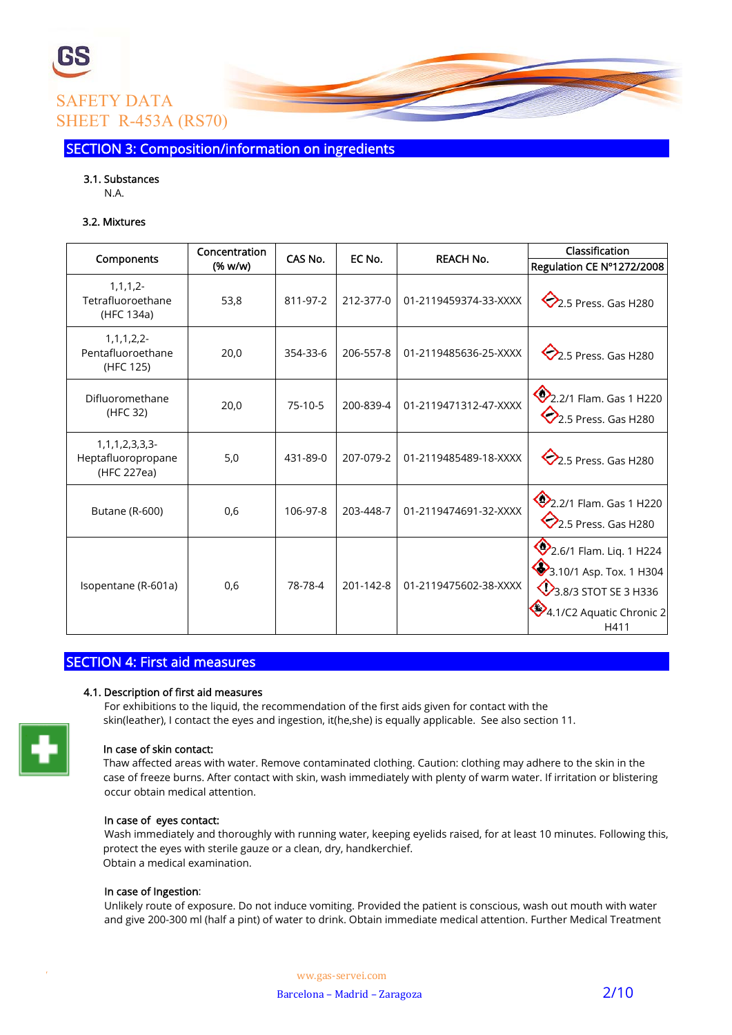

SECTION 3: Composition/information on ingredients

### 3.1. Substances

N.A.

### 3.2. Mixtures

| Components                                             | Concentration | CAS No.   | EC No.    | <b>REACH No.</b>      | Classification                                                                                                 |
|--------------------------------------------------------|---------------|-----------|-----------|-----------------------|----------------------------------------------------------------------------------------------------------------|
|                                                        | (% w/w)       |           |           |                       | Regulation CE Nº1272/2008                                                                                      |
| $1, 1, 1, 2 -$<br>Tetrafluoroethane<br>(HFC 134a)      | 53,8          | 811-97-2  | 212-377-0 | 01-2119459374-33-XXXX | $\bigotimes$ 2.5 Press. Gas H280                                                                               |
| 1, 1, 1, 2, 2<br>Pentafluoroethane<br>(HFC 125)        | 20,0          | 354-33-6  | 206-557-8 | 01-2119485636-25-XXXX | $\bigotimes$ 2.5 Press. Gas H280                                                                               |
| Difluoromethane<br>(HFC 32)                            | 20,0          | $75-10-5$ | 200-839-4 | 01-2119471312-47-XXXX | 2.2/1 Flam. Gas 1 H220<br>$\heartsuit$ 2.5 Press. Gas H280                                                     |
| $1,1,1,2,3,3,3$ -<br>Heptafluoropropane<br>(HFC 227ea) | 5,0           | 431-89-0  | 207-079-2 | 01-2119485489-18-XXXX | $\bigotimes$ 2.5 Press. Gas H280                                                                               |
| Butane (R-600)                                         | 0,6           | 106-97-8  | 203-448-7 | 01-2119474691-32-XXXX | 2.2/1 Flam. Gas 1 H220<br>$\bigotimes$ 2.5 Press. Gas H280                                                     |
| Isopentane (R-601a)                                    | 0,6           | 78-78-4   | 201-142-8 | 01-2119475602-38-XXXX | 2.6/1 Flam. Liq. 1 H224<br>3.10/1 Asp. Tox. 1 H304<br>3.8/3 STOT SE 3 H336<br>4.1/C2 Aquatic Chronic 2<br>H411 |

### SECTION 4: First aid measures

### 4.1. Description of first aid measures

 For exhibitions to the liquid, the recommendation of the first aids given for contact with the skin(leather), I contact the eyes and ingestion, it(he,she) is equally applicable. See also section 11.

### In case of skin contact:

 Thaw affected areas with water. Remove contaminated clothing. Caution: clothing may adhere to the skin in the case of freeze burns. After contact with skin, wash immediately with plenty of warm water. If irritation or blistering occur obtain medical attention.

### In case of eyes contact:

 Wash immediately and thoroughly with running water, keeping eyelids raised, for at least 10 minutes. Following this, protect the eyes with sterile gauze or a clean, dry, handkerchief. Obtain a medical examination.

### In case of Ingestion:

 Unlikely route of exposure. Do not induce vomiting. Provided the patient is conscious, wash out mouth with water and give 200-300 ml (half a pint) of water to drink. Obtain immediate medical attention. Further Medical Treatment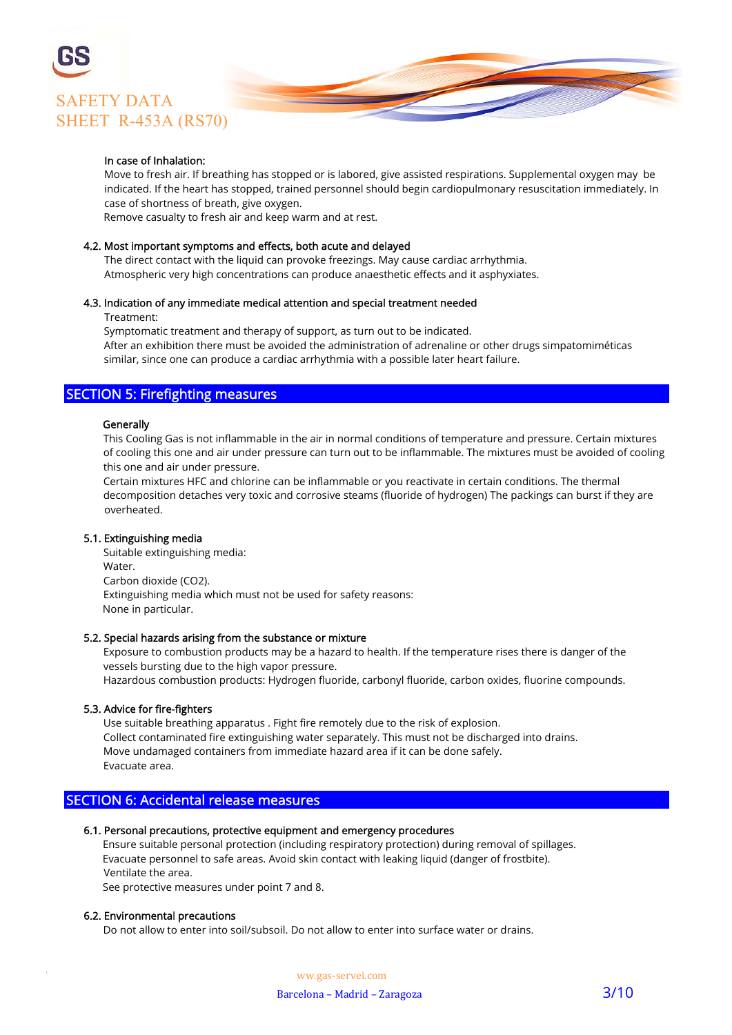

### In case of Inhalation:

 Move to fresh air. If breathing has stopped or is labored, give assisted respirations. Supplemental oxygen may be indicated. If the heart has stopped, trained personnel should begin cardiopulmonary resuscitation immediately. In case of shortness of breath, give oxygen.

Remove casualty to fresh air and keep warm and at rest.

### 4.2. Most important symptoms and effects, both acute and delayed

 The direct contact with the liquid can provoke freezings. May cause cardiac arrhythmia. Atmospheric very high concentrations can produce anaesthetic effects and it asphyxiates.

### 4.3. Indication of any immediate medical attention and special treatment needed

Treatment:

 Symptomatic treatment and therapy of support, as turn out to be indicated. After an exhibition there must be avoided the administration of adrenaline or other drugs simpatomiméticas similar, since one can produce a cardiac arrhythmia with a possible later heart failure.

### SECTION 5: Firefighting measures

### **Generally**

 This Cooling Gas is not inflammable in the air in normal conditions of temperature and pressure. Certain mixtures of cooling this one and air under pressure can turn out to be inflammable. The mixtures must be avoided of cooling this one and air under pressure.

 Certain mixtures HFC and chlorine can be inflammable or you reactivate in certain conditions. The thermal decomposition detaches very toxic and corrosive steams (fluoride of hydrogen) The packings can burst if they are overheated.

### 5.1. Extinguishing media

 Suitable extinguishing media: Water. Carbon dioxide (CO2). Extinguishing media which must not be used for safety reasons: None in particular.

### 5.2. Special hazards arising from the substance or mixture

 Exposure to combustion products may be a hazard to health. If the temperature rises there is danger of the vessels bursting due to the high vapor pressure. Hazardous combustion products: Hydrogen fluoride, carbonyl fluoride, carbon oxides, fluorine compounds.

5.3. Advice for fire-fighters

 Use suitable breathing apparatus . Fight fire remotely due to the risk of explosion. Collect contaminated fire extinguishing water separately. This must not be discharged into drains. Move undamaged containers from immediate hazard area if it can be done safely. Evacuate area.

### SECTION 6: Accidental release measures

### 6.1. Personal precautions, protective equipment and emergency procedures

 Ensure suitable personal protection (including respiratory protection) during removal of spillages. Evacuate personnel to safe areas. Avoid skin contact with leaking liquid (danger of frostbite). Ventilate the area.

See protective measures under point 7 and 8.

#### 6.2. Environmental precautions

Do not allow to enter into soil/subsoil. Do not allow to enter into surface water or drains.

W ww.gas-servei.com Barcelona – Madrid – Zaragoza 3/10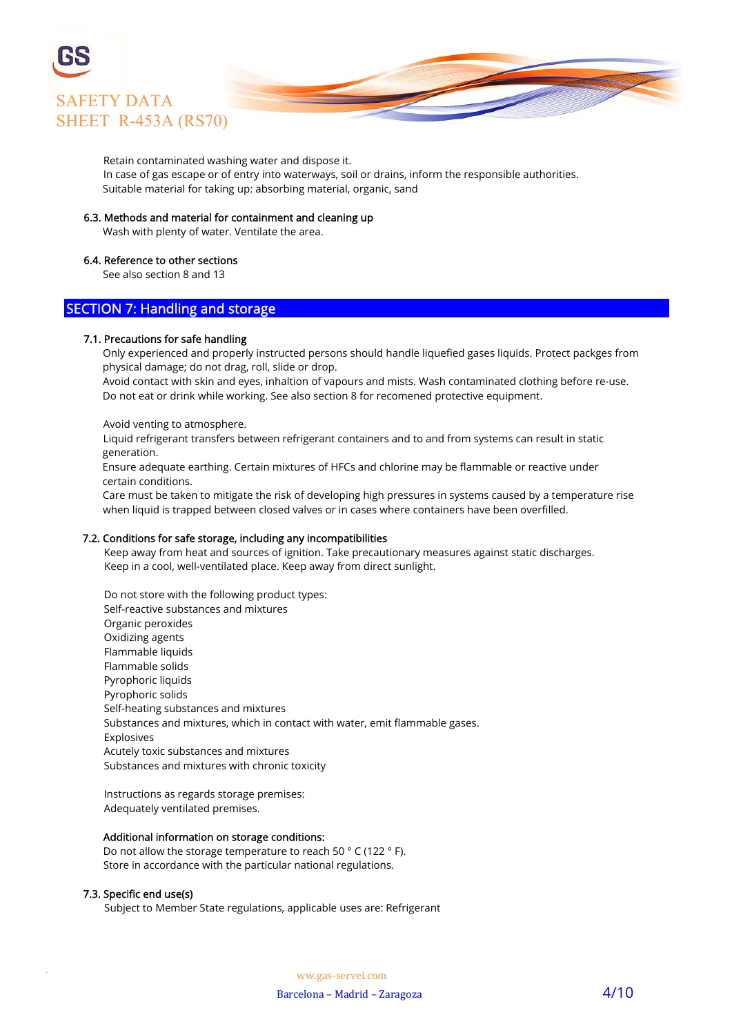

Retain contaminated washing water and dispose it.

 In case of gas escape or of entry into waterways, soil or drains, inform the responsible authorities. Suitable material for taking up: absorbing material, organic, sand

### 6.3. Methods and material for containment and cleaning up

Wash with plenty of water. Ventilate the area.

### 6.4. Reference to other sections

See also section 8 and 13

### SECTION 7: Handling and storage

#### 7.1. Precautions for safe handling

 Only experienced and properly instructed persons should handle liquefied gases liquids. Protect packges from physical damage; do not drag, roll, slide or drop.

 Avoid contact with skin and eyes, inhaltion of vapours and mists. Wash contaminated clothing before re-use. Do not eat or drink while working. See also section 8 for recomened protective equipment.

#### Avoid venting to atmosphere.

 Liquid refrigerant transfers between refrigerant containers and to and from systems can result in static generation.

 Ensure adequate earthing. Certain mixtures of HFCs and chlorine may be flammable or reactive under certain conditions.

 Care must be taken to mitigate the risk of developing high pressures in systems caused by a temperature rise when liquid is trapped between closed valves or in cases where containers have been overfilled.

#### 7.2. Conditions for safe storage, including any incompatibilities

 Keep away from heat and sources of ignition. Take precautionary measures against static discharges. Keep in a cool, well-ventilated place. Keep away from direct sunlight.

 Do not store with the following product types: Self-reactive substances and mixtures Organic peroxides Oxidizing agents Flammable liquids Flammable solids Pyrophoric liquids Pyrophoric solids Self-heating substances and mixtures Substances and mixtures, which in contact with water, emit flammable gases. Explosives Acutely toxic substances and mixtures Substances and mixtures with chronic toxicity

 Instructions as regards storage premises: Adequately ventilated premises.

#### Additional information on storage conditions:

 Do not allow the storage temperature to reach 50 ° C (122 ° F). Store in accordance with the particular national regulations.

### 7.3. Specific end use(s)

Subject to Member State regulations, applicable uses are: Refrigerant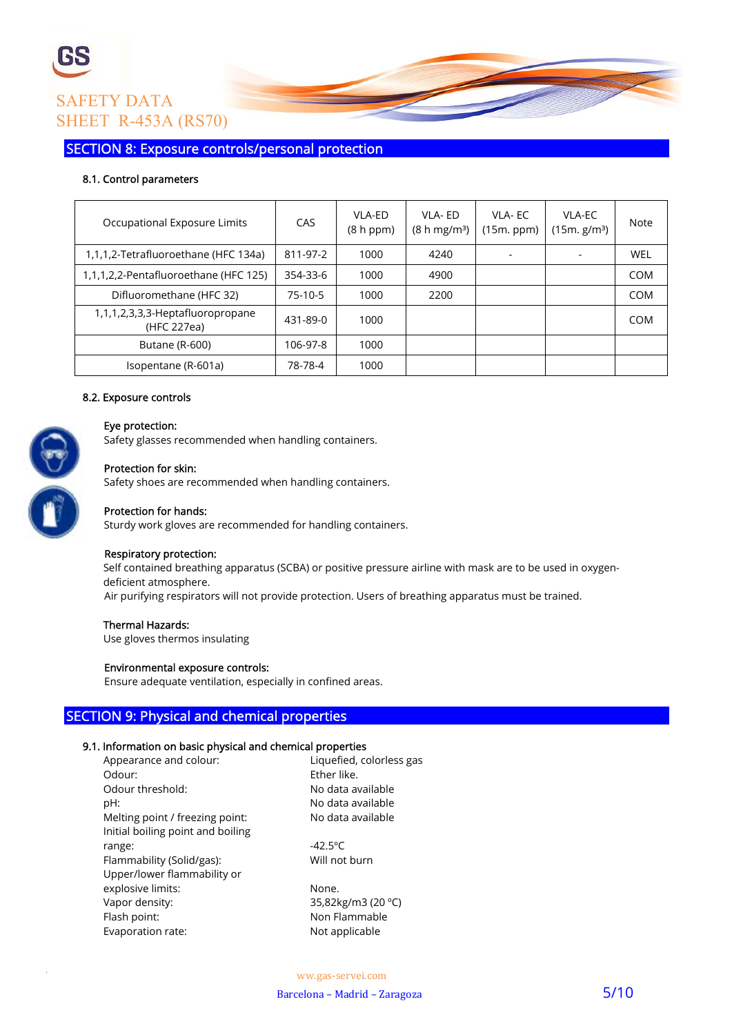

SECTION 8: Exposure controls/personal protection

### 8.1. Control parameters

| Occupational Exposure Limits                    | CAS       | VLA-ED<br>(8 h ppm) | VLA-ED<br>(8 h mg/m <sup>3</sup> ) | VI A-FC<br>(15m. ppm) | VLA-EC<br>(15m, g/m <sup>3</sup> ) | Note       |
|-------------------------------------------------|-----------|---------------------|------------------------------------|-----------------------|------------------------------------|------------|
| 1,1,1,2-Tetrafluoroethane (HFC 134a)            | 811-97-2  | 1000                | 4240                               |                       |                                    | <b>WEL</b> |
| 1,1,1,2,2-Pentafluoroethane (HFC 125)           | 354-33-6  | 1000                | 4900                               |                       |                                    | COM        |
| Difluoromethane (HFC 32)                        | $75-10-5$ | 1000                | 2200                               |                       |                                    | <b>COM</b> |
| 1,1,1,2,3,3,3-Heptafluoropropane<br>(HFC 227ea) | 431-89-0  | 1000                |                                    |                       |                                    | <b>COM</b> |
| Butane (R-600)                                  | 106-97-8  | 1000                |                                    |                       |                                    |            |
| Isopentane (R-601a)                             | 78-78-4   | 1000                |                                    |                       |                                    |            |

### 8.2. Exposure controls

### Eye protection:

Safety glasses recommended when handling containers.

### Protection for skin:

Safety shoes are recommended when handling containers.



### Protection for hands:

Sturdy work gloves are recommended for handling containers.

### Respiratory protection:

 Self contained breathing apparatus (SCBA) or positive pressure airline with mask are to be used in oxygen deficient atmosphere. Air purifying respirators will not provide protection. Users of breathing apparatus must be trained.

### Thermal Hazards:

Use gloves thermos insulating

### Environmental exposure controls:

Ensure adequate ventilation, especially in confined areas.

### SECTION 9: Physical and chemical properties

### 9.1. Information on basic physical and chemical properties

| Appearance and colour:            | Liquefied, colorless gas |
|-----------------------------------|--------------------------|
| Odour:                            | Fther like.              |
| Odour threshold:                  | No data available        |
| pH:                               | No data available        |
| Melting point / freezing point:   | No data available        |
| Initial boiling point and boiling |                          |
| range:                            | $-42.5^{\circ}C$         |
| Flammability (Solid/gas):         | Will not burn            |
| Upper/lower flammability or       |                          |
| explosive limits:                 | None.                    |
| Vapor density:                    | 35,82kg/m3 (20 °C)       |
| Flash point:                      | Non Flammable            |
| Evaporation rate:                 | Not applicable           |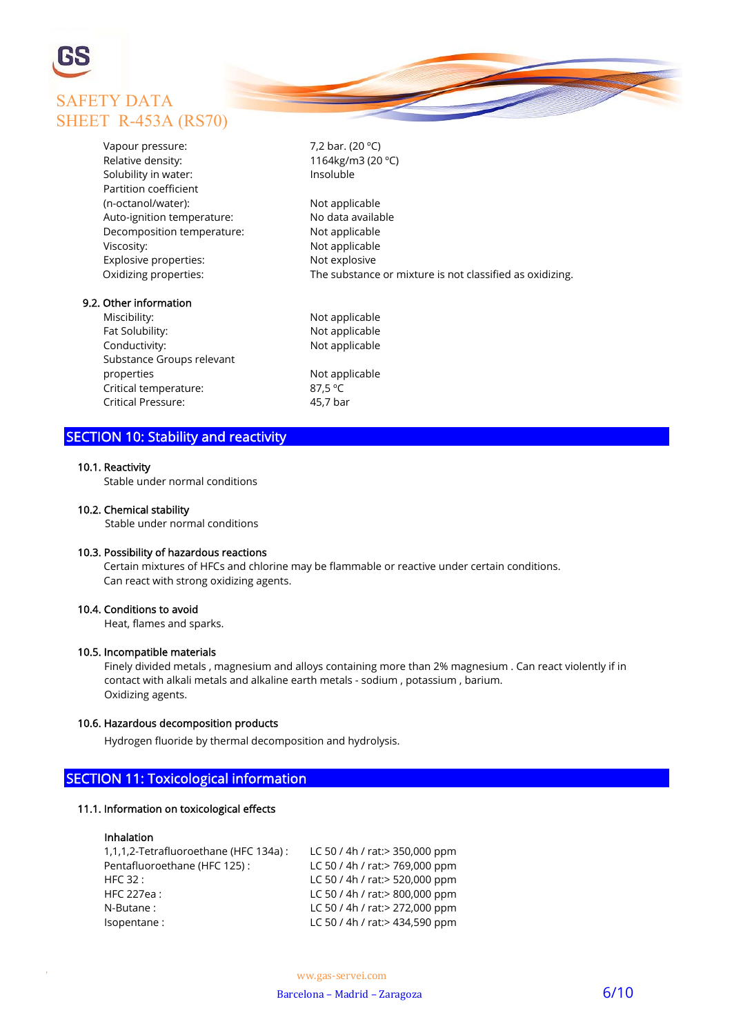

| Vapour pressure:           | 7,2 bar. (20 $^{\circ}$ C)                               |
|----------------------------|----------------------------------------------------------|
| Relative density:          | 1164kg/m3 (20 °C)                                        |
| Solubility in water:       | Insoluble                                                |
| Partition coefficient      |                                                          |
| (n-octanol/water):         | Not applicable                                           |
| Auto-ignition temperature: | No data available                                        |
| Decomposition temperature: | Not applicable                                           |
| Viscosity:                 | Not applicable                                           |
| Explosive properties:      | Not explosive                                            |
| Oxidizing properties:      | The substance or mixture is not classified as oxidizing. |
| 9.2. Other information     |                                                          |
| Miscibility:               | Not applicable                                           |
| $F = F = F = 1.$           | الملحد المتمرس للمرارى                                   |

Fat Solubility: Not applicable Conductivity: Not applicable Substance Groups relevant properties and a non-terminal properties and a non-terminal properties and a non- Critical temperature: 87,5 ºC Critical Pressure: 45,7 bar

### SECTION 10: Stability and reactivity

### 10.1. Reactivity

Stable under normal conditions

### 10.2. Chemical stability

Stable under normal conditions

### 10.3. Possibility of hazardous reactions

 Certain mixtures of HFCs and chlorine may be flammable or reactive under certain conditions. Can react with strong oxidizing agents.

### 10.4. Conditions to avoid

Heat, flames and sparks.

### 10.5. Incompatible materials

 Finely divided metals , magnesium and alloys containing more than 2% magnesium . Can react violently if in contact with alkali metals and alkaline earth metals - sodium , potassium , barium. Oxidizing agents.

### 10.6. Hazardous decomposition products

Hydrogen fluoride by thermal decomposition and hydrolysis.

### SECTION 11: Toxicological information

### 11.1. Information on toxicological effects

### Inhalation

| 1,1,1,2-Tetrafluoroethane (HFC 134a) : | LC 50 / 4h / rat: > 350,000 ppm |
|----------------------------------------|---------------------------------|
| Pentafluoroethane (HFC 125):           | LC 50 / 4h / rat: > 769,000 ppm |
| HFC 32:                                | LC 50 / 4h / rat: > 520,000 ppm |
| <b>HFC 227ea:</b>                      | LC 50 / 4h / rat: > 800,000 ppm |
| N-Butane:                              | LC 50 / 4h / rat: > 272,000 ppm |
| Isopentane:                            | LC 50 / 4h / rat: > 434,590 ppm |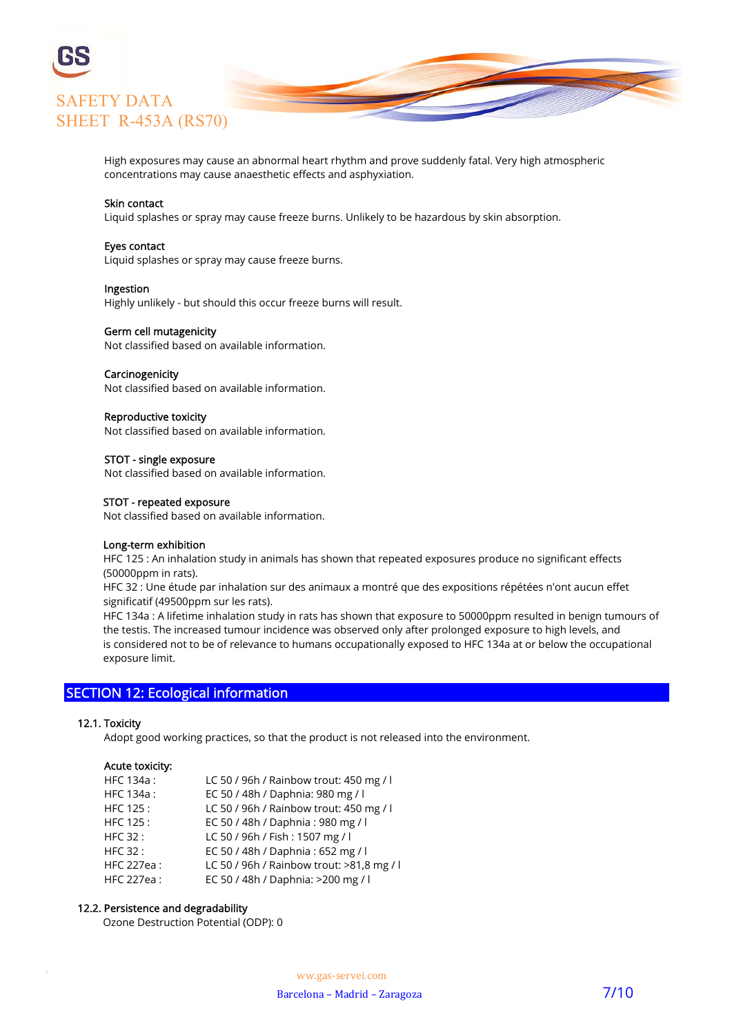

 High exposures may cause an abnormal heart rhythm and prove suddenly fatal. Very high atmospheric concentrations may cause anaesthetic effects and asphyxiation.

### Skin contact

Liquid splashes or spray may cause freeze burns. Unlikely to be hazardous by skin absorption.

#### Eyes contact

Liquid splashes or spray may cause freeze burns.

### Ingestion

Highly unlikely - but should this occur freeze burns will result.

### Germ cell mutagenicity

Not classified based on available information.

### Carcinogenicity

Not classified based on available information.

#### Reproductive toxicity

Not classified based on available information.

### STOT - single exposure

Not classified based on available information.

#### STOT - repeated exposure

Not classified based on available information.

### Long-term exhibition

 HFC 125 : An inhalation study in animals has shown that repeated exposures produce no significant effects (50000ppm in rats).

 HFC 32 : Une étude par inhalation sur des animaux a montré que des expositions répétées n'ont aucun effet significatif (49500ppm sur les rats).

 HFC 134a : A lifetime inhalation study in rats has shown that exposure to 50000ppm resulted in benign tumours of the testis. The increased tumour incidence was observed only after prolonged exposure to high levels, and is considered not to be of relevance to humans occupationally exposed to HFC 134a at or below the occupational exposure limit.

### SECTION 12: Ecological information

#### 12.1. Toxicity

Adopt good working practices, so that the product is not released into the environment.

#### Acute toxicity:

| HFC 134a:         | LC 50 / 96h / Rainbow trout: 450 mg / l   |
|-------------------|-------------------------------------------|
| HFC 134a:         | EC 50 / 48h / Daphnia: 980 mg / l         |
| HFC 125:          | LC 50 / 96h / Rainbow trout: 450 mg / l   |
| HFC 125:          | EC 50 / 48h / Daphnia: 980 mg / l         |
| <b>HFC 32:</b>    | LC 50 / 96h / Fish: 1507 mg / l           |
| <b>HFC 32:</b>    | EC 50 / 48h / Daphnia: 652 mg / l         |
| <b>HFC 227ea:</b> | LC 50 / 96h / Rainbow trout: >81,8 mg / l |
| HFC 227ea:        | EC 50 / 48h / Daphnia: >200 mg / l        |

### 12.2. Persistence and degradability

Ozone Destruction Potential (ODP): 0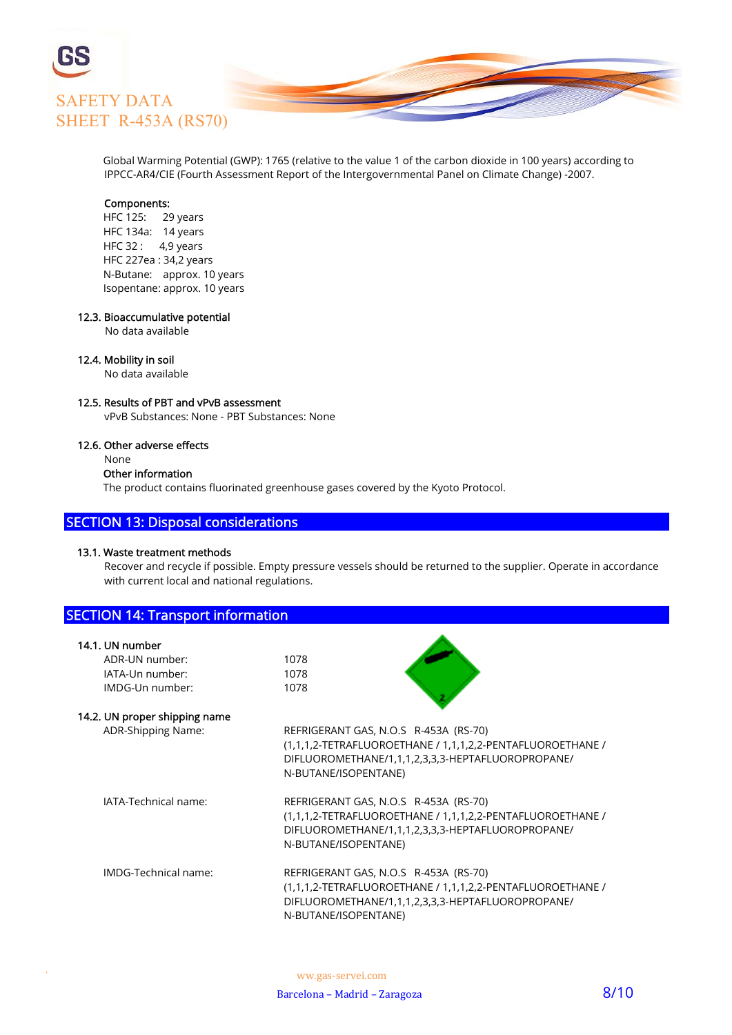

 Global Warming Potential (GWP): 1765 (relative to the value 1 of the carbon dioxide in 100 years) according to IPPCC-AR4/CIE (Fourth Assessment Report of the Intergovernmental Panel on Climate Change) -2007.

### Components:

 HFC 125: 29 years HFC 134a: 14 years HFC 32 : 4,9 years HFC 227ea : 34,2 years N-Butane: approx. 10 years Isopentane: approx. 10 years

### 12.3. Bioaccumulative potential

No data available

### 12.4. Mobility in soil

No data available

### 12.5. Results of PBT and vPvB assessment

vPvB Substances: None - PBT Substances: None

### 12.6. Other adverse effects

None

### Other information

The product contains fluorinated greenhouse gases covered by the Kyoto Protocol.

### SECTION 13: Disposal considerations

### 13.1. Waste treatment methods

 Recover and recycle if possible. Empty pressure vessels should be returned to the supplier. Operate in accordance with current local and national regulations.

| <b>SECTION 14: Transport information</b> |                                                            |
|------------------------------------------|------------------------------------------------------------|
| 14.1. UN number                          |                                                            |
| ADR-UN number:                           | 1078                                                       |
| IATA-Un number:                          | 1078                                                       |
| IMDG-Un number:                          | 1078                                                       |
| 14.2. UN proper shipping name            |                                                            |
| ADR-Shipping Name:                       | REFRIGERANT GAS, N.O.S R-453A (RS-70)                      |
|                                          | (1,1,1,2-TETRAFLUOROETHANE / 1,1,1,2,2-PENTAFLUOROETHANE / |
|                                          | DIFLUOROMETHANE/1,1,1,2,3,3,3-HEPTAFLUOROPROPANE/          |
|                                          | N-BUTANE/ISOPENTANE)                                       |
| IATA-Technical name:                     | REFRIGERANT GAS, N.O.S R-453A (RS-70)                      |
|                                          | (1,1,1,2-TETRAFLUOROETHANE / 1,1,1,2,2-PENTAFLUOROETHANE / |
|                                          | DIFLUOROMETHANE/1,1,1,2,3,3,3-HEPTAFLUOROPROPANE/          |
|                                          | N-BUTANE/ISOPENTANE)                                       |
| IMDG-Technical name:                     | REFRIGERANT GAS, N.O.S R-453A (RS-70)                      |
|                                          | (1,1,1,2-TETRAFLUOROETHANE / 1,1,1,2,2-PENTAFLUOROETHANE / |
|                                          | DIFLUOROMETHANE/1,1,1,2,3,3,3-HEPTAFLUOROPROPANE/          |
|                                          | N-BUTANE/ISOPENTANE)                                       |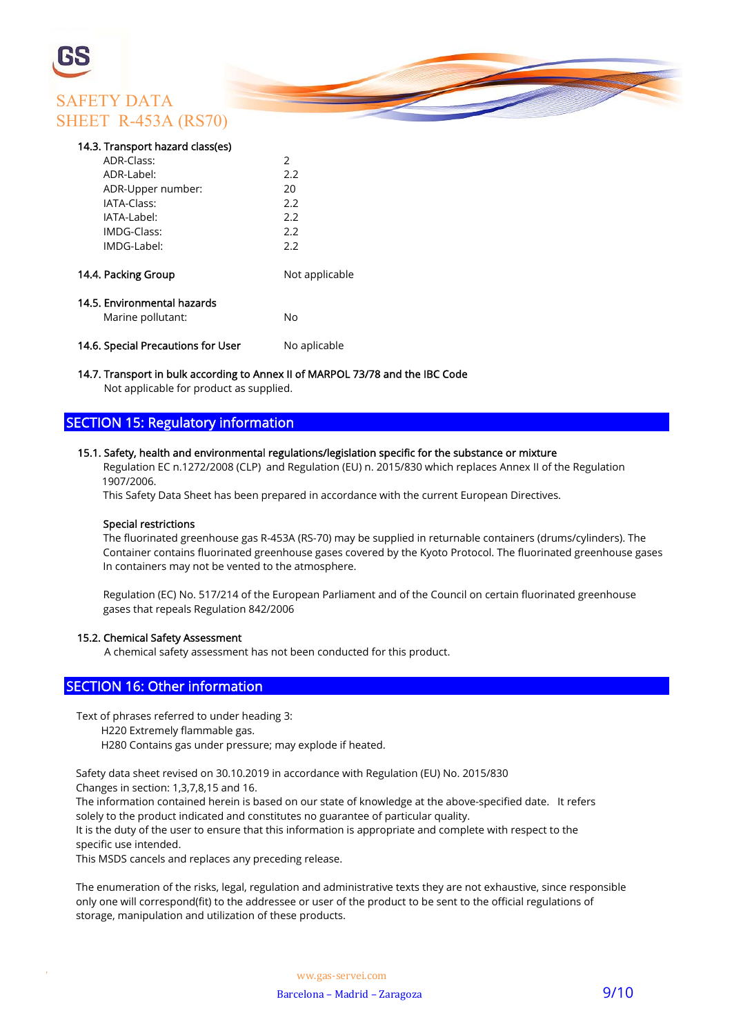## SAFETY DATA SHEET R-453A (RS70)

### 14.3. Transport hazard class(es)

| ADR-Class:                                       | $\mathcal{P}$  |
|--------------------------------------------------|----------------|
| ADR-Label:                                       | 2.2            |
| ADR-Upper number:                                | 20             |
| IATA-Class:                                      | 2.2            |
| IATA-Label:                                      | 2.2            |
| IMDG-Class:                                      | 2.2            |
| IMDG-Label:                                      | 2.2            |
| 14.4. Packing Group                              | Not applicable |
| 14.5. Environmental hazards<br>Marine pollutant: | No             |
| 14.6. Special Precautions for User               | No aplicable   |

### 14.7. Transport in bulk according to Annex II of MARPOL 73/78 and the IBC Code

Not applicable for product as supplied.

### SECTION 15: Regulatory information

### 15.1. Safety, health and environmental regulations/legislation specific for the substance or mixture

 Regulation EC n.1272/2008 (CLP) and Regulation (EU) n. 2015/830 which replaces Annex II of the Regulation 1907/2006.

This Safety Data Sheet has been prepared in accordance with the current European Directives.

### Special restrictions

 The fluorinated greenhouse gas R-453A (RS-70) may be supplied in returnable containers (drums/cylinders). The Container contains fluorinated greenhouse gases covered by the Kyoto Protocol. The fluorinated greenhouse gases In containers may not be vented to the atmosphere.

 Regulation (EC) No. 517/214 of the European Parliament and of the Council on certain fluorinated greenhouse gases that repeals Regulation 842/2006

### 15.2. Chemical Safety Assessment

A chemical safety assessment has not been conducted for this product.

### SECTION 16: Other information

Text of phrases referred to under heading 3:

H220 Extremely flammable gas.

H280 Contains gas under pressure; may explode if heated.

Safety data sheet revised on 30.10.2019 in accordance with Regulation (EU) No. 2015/830

Changes in section: 1,3,7,8,15 and 16.

 The information contained herein is based on our state of knowledge at the above-specified date. It refers solely to the product indicated and constitutes no guarantee of particular quality.

 It is the duty of the user to ensure that this information is appropriate and complete with respect to the specific use intended.

This MSDS cancels and replaces any preceding release.

 The enumeration of the risks, legal, regulation and administrative texts they are not exhaustive, since responsible only one will correspond(fit) to the addressee or user of the product to be sent to the official regulations of storage, manipulation and utilization of these products.

W ww.gas-servei.com